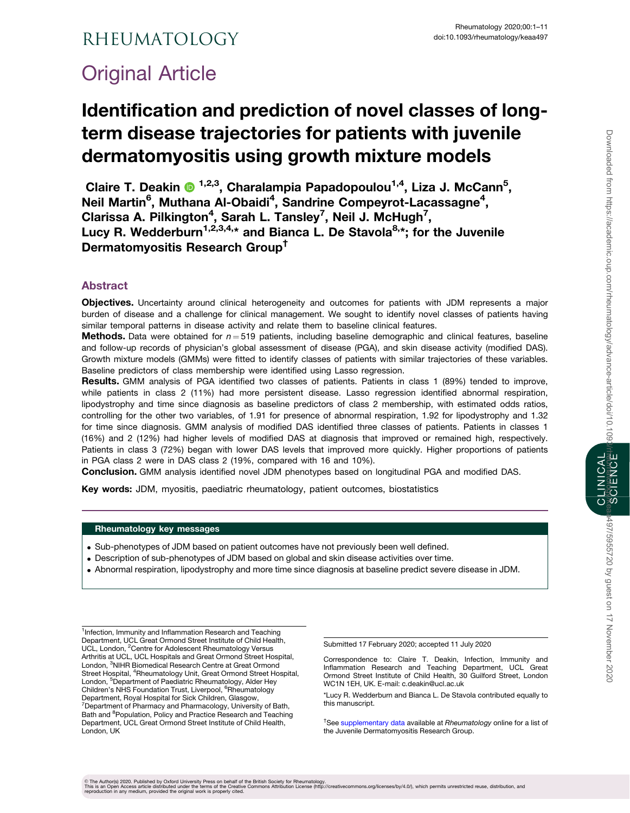# Rheumatology

# Original Article

# Identification and prediction of novel classes of longterm disease trajectories for patients with juvenile dermatomyositis using growth mixture models

Claire T. Deakin ® <sup>1,2,3</sup>, Charalampia Papadopoulou<sup>1,4</sup>, Liza J. McCann<sup>5</sup>, Neil Martin<sup>6</sup>, Muthana Al-Obaidi<sup>4</sup>, Sandrine Compeyrot-Lacassagne<sup>4</sup>, Clarissa A. Pilkington<sup>4</sup>, Sarah L. Tansley<sup>7</sup>, Neil J. McHugh<sup>7</sup>, Lucy R. Wedderburn<sup>1,2,3,4,\*</sup> and Bianca L. De Stavola<sup>8,\*</sup>; for the Juvenile Dermatomyositis Research Group†

# Abstract

Objectives. Uncertainty around clinical heterogeneity and outcomes for patients with JDM represents a major burden of disease and a challenge for clinical management. We sought to identify novel classes of patients having similar temporal patterns in disease activity and relate them to baseline clinical features.

**Methods.** Data were obtained for  $n = 519$  patients, including baseline demographic and clinical features, baseline and follow-up records of physician's global assessment of disease (PGA), and skin disease activity (modified DAS). Growth mixture models (GMMs) were fitted to identify classes of patients with similar trajectories of these variables. Baseline predictors of class membership were identified using Lasso regression.

Results. GMM analysis of PGA identified two classes of patients. Patients in class 1 (89%) tended to improve, while patients in class 2 (11%) had more persistent disease. Lasso regression identified abnormal respiration, lipodystrophy and time since diagnosis as baseline predictors of class 2 membership, with estimated odds ratios, controlling for the other two variables, of 1.91 for presence of abnormal respiration, 1.92 for lipodystrophy and 1.32 for time since diagnosis. GMM analysis of modified DAS identified three classes of patients. Patients in classes 1 (16%) and 2 (12%) had higher levels of modified DAS at diagnosis that improved or remained high, respectively. Patients in class 3 (72%) began with lower DAS levels that improved more quickly. Higher proportions of patients in PGA class 2 were in DAS class 2 (19%, compared with 16 and 10%).

Conclusion. GMM analysis identified novel JDM phenotypes based on longitudinal PGA and modified DAS.

Key words: JDM, myositis, paediatric rheumatology, patient outcomes, biostatistics

### Rheumatology key messages

- . Sub-phenotypes of JDM based on patient outcomes have not previously been well defined.
- . Description of sub-phenotypes of JDM based on global and skin disease activities over time.
- . Abnormal respiration, lipodystrophy and more time since diagnosis at baseline predict severe disease in JDM.

<sup>1</sup>Infection, Immunity and Inflammation Research and Teaching Department, UCL Great Ormond Street Institute of Child Health,<br>UCL, London, <sup>2</sup>Centre for Adolescent Rheumatology Versus Arthritis at UCL, UCL Hospitals and Great Ormond Street Hospital, London, <sup>3</sup>NIHR Biomedical Research Centre at Great Ormond Street Hospital, <sup>4</sup>Rheumatology Unit, Great Ormond Street Hospital, London, <sup>5</sup>Department of Paediatric Rheumatology, Alder Hey Children's NHS Foundation Trust, Liverpool, <sup>6</sup>Rheumatology Department, Royal Hospital for Sick Children, Glasgow, <sup>7</sup>Department of Pharmacy and Pharmacology, University of Bath, Bath and <sup>8</sup>Population, Policy and Practice Research and Teaching Department, UCL Great Ormond Street Institute of Child Health, London, UK

#### Submitted 17 February 2020; accepted 11 July 2020

Correspondence to: Claire T. Deakin, Infection, Immunity and Inflammation Research and Teaching Department, UCL Great Ormond Street Institute of Child Health, 30 Guilford Street, London WC1N 1EH, UK. E-mail: c.deakin@ucl.ac.uk

\*Lucy R. Wedderburn and Bianca L. De Stavola contributed equally to this manuscript.

<sup>†</sup>See [supplementary data](https://academic.oup.com/rheumatology/article-lookup/doi/10.1093/rheumatology/keaa497#supplementary-data) available at Rheumatology online for a list of the Juvenile Dermatomyositis Research Group.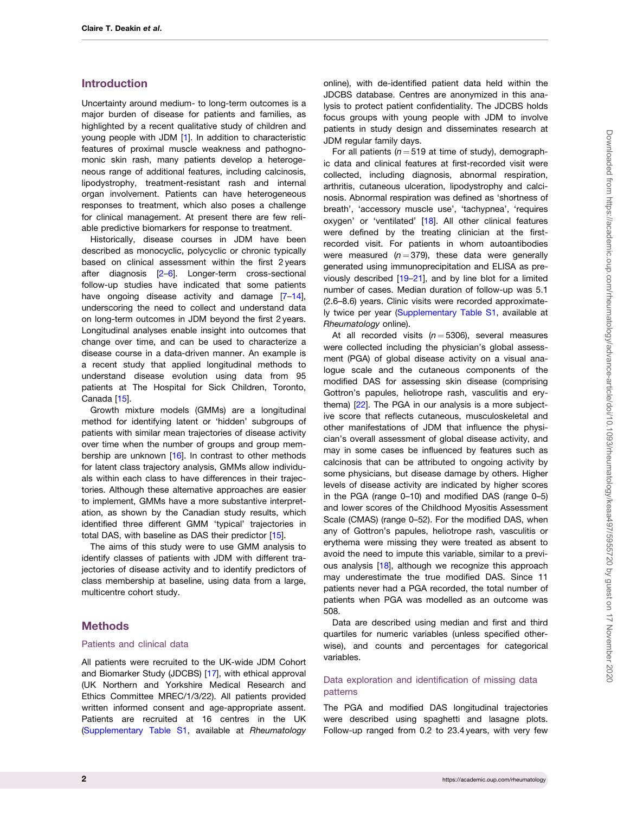## <span id="page-1-0"></span>Introduction

Uncertainty around medium- to long-term outcomes is a major burden of disease for patients and families, as highlighted by a recent qualitative study of children and young people with JDM [\[1\]](#page-9-0). In addition to characteristic features of proximal muscle weakness and pathognomonic skin rash, many patients develop a heterogeneous range of additional features, including calcinosis, lipodystrophy, treatment-resistant rash and internal organ involvement. Patients can have heterogeneous responses to treatment, which also poses a challenge for clinical management. At present there are few reliable predictive biomarkers for response to treatment.

Historically, disease courses in JDM have been described as monocyclic, polycyclic or chronic typically based on clinical assessment within the first 2 years after diagnosis [[2](#page-9-0)–[6](#page-9-0)]. Longer-term cross-sectional follow-up studies have indicated that some patients have ongoing disease activity and damage [[7](#page-9-0)-[14](#page-10-0)], underscoring the need to collect and understand data on long-term outcomes in JDM beyond the first 2 years. Longitudinal analyses enable insight into outcomes that change over time, and can be used to characterize a disease course in a data-driven manner. An example is a recent study that applied longitudinal methods to understand disease evolution using data from 95 patients at The Hospital for Sick Children, Toronto, Canada [\[15](#page-10-0)].

Growth mixture models (GMMs) are a longitudinal method for identifying latent or 'hidden' subgroups of patients with similar mean trajectories of disease activity over time when the number of groups and group membership are unknown [\[16\]](#page-10-0). In contrast to other methods for latent class trajectory analysis, GMMs allow individuals within each class to have differences in their trajectories. Although these alternative approaches are easier to implement, GMMs have a more substantive interpretation, as shown by the Canadian study results, which identified three different GMM 'typical' trajectories in total DAS, with baseline as DAS their predictor [\[15\]](#page-10-0).

The aims of this study were to use GMM analysis to identify classes of patients with JDM with different trajectories of disease activity and to identify predictors of class membership at baseline, using data from a large, multicentre cohort study.

# **Methods**

## Patients and clinical data

All patients were recruited to the UK-wide JDM Cohort and Biomarker Study (JDCBS) [\[17\]](#page-10-0), with ethical approval (UK Northern and Yorkshire Medical Research and Ethics Committee MREC/1/3/22). All patients provided written informed consent and age-appropriate assent. Patients are recruited at 16 centres in the UK ([Supplementary Table S1](https://academic.oup.com/rheumatology/article-lookup/doi/10.1093/rheumatology/keaa497#supplementary-data), available at Rheumatology

online), with de-identified patient data held within the JDCBS database. Centres are anonymized in this analysis to protect patient confidentiality. The JDCBS holds focus groups with young people with JDM to involve patients in study design and disseminates research at JDM regular family days.

For all patients ( $n = 519$  at time of study), demographic data and clinical features at first-recorded visit were collected, including diagnosis, abnormal respiration, arthritis, cutaneous ulceration, lipodystrophy and calcinosis. Abnormal respiration was defined as 'shortness of breath', 'accessory muscle use', 'tachypnea', 'requires oxygen' or 'ventilated' [\[18\]](#page-10-0). All other clinical features were defined by the treating clinician at the firstrecorded visit. For patients in whom autoantibodies were measured ( $n = 379$ ), these data were generally generated using immunoprecipitation and ELISA as previously described [\[19–21](#page-10-0)], and by line blot for a limited number of cases. Median duration of follow-up was 5.1 (2.6–8.6) years. Clinic visits were recorded approximate-ly twice per year ([Supplementary Table S1,](https://academic.oup.com/rheumatology/article-lookup/doi/10.1093/rheumatology/keaa497#supplementary-data) available at Rheumatology online).

At all recorded visits  $(n = 5306)$ , several measures were collected including the physician's global assessment (PGA) of global disease activity on a visual analogue scale and the cutaneous components of the modified DAS for assessing skin disease (comprising Gottron's papules, heliotrope rash, vasculitis and erythema) [\[22\]](#page-10-0). The PGA in our analysis is a more subjective score that reflects cutaneous, musculoskeletal and other manifestations of JDM that influence the physician's overall assessment of global disease activity, and may in some cases be influenced by features such as calcinosis that can be attributed to ongoing activity by some physicians, but disease damage by others. Higher levels of disease activity are indicated by higher scores in the PGA (range 0–10) and modified DAS (range 0–5) and lower scores of the Childhood Myositis Assessment Scale (CMAS) (range 0–52). For the modified DAS, when any of Gottron's papules, heliotrope rash, vasculitis or erythema were missing they were treated as absent to avoid the need to impute this variable, similar to a previ-ous analysis [[18](#page-10-0)], although we recognize this approach may underestimate the true modified DAS. Since 11 patients never had a PGA recorded, the total number of patients when PGA was modelled as an outcome was 508.

Data are described using median and first and third quartiles for numeric variables (unless specified otherwise), and counts and percentages for categorical variables.

## Data exploration and identification of missing data patterns

The PGA and modified DAS longitudinal trajectories were described using spaghetti and lasagne plots. Follow-up ranged from 0.2 to 23.4 years, with very few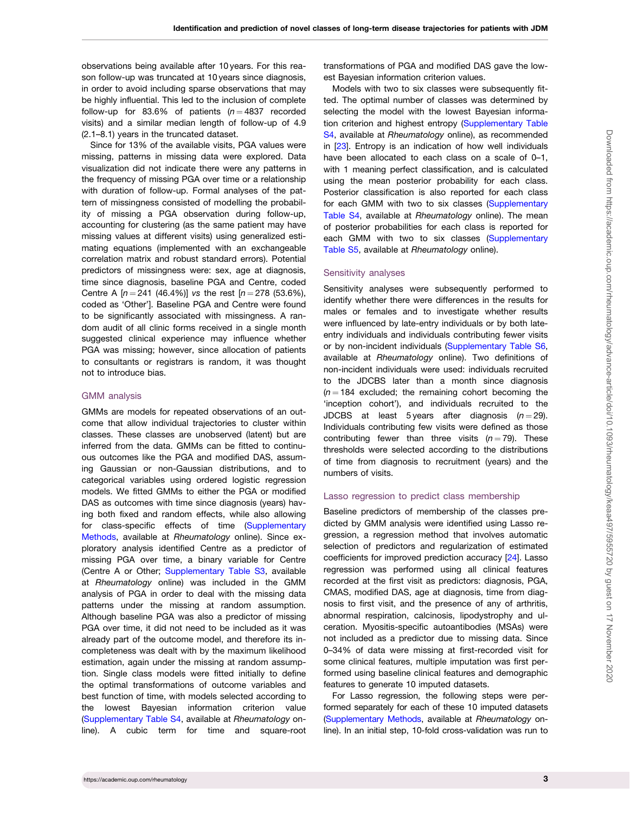<span id="page-2-0"></span>observations being available after 10 years. For this reason follow-up was truncated at 10 years since diagnosis, in order to avoid including sparse observations that may be highly influential. This led to the inclusion of complete follow-up for 83.6% of patients  $(n = 4837 \text{ recorded})$ visits) and a similar median length of follow-up of 4.9 (2.1–8.1) years in the truncated dataset.

Since for 13% of the available visits, PGA values were missing, patterns in missing data were explored. Data visualization did not indicate there were any patterns in the frequency of missing PGA over time or a relationship with duration of follow-up. Formal analyses of the pattern of missingness consisted of modelling the probability of missing a PGA observation during follow-up, accounting for clustering (as the same patient may have missing values at different visits) using generalized estimating equations (implemented with an exchangeable correlation matrix and robust standard errors). Potential predictors of missingness were: sex, age at diagnosis, time since diagnosis, baseline PGA and Centre, coded Centre A  $[n = 241 (46.4\%)$ ] vs the rest  $[n = 278 (53.6\%).$ coded as 'Other']. Baseline PGA and Centre were found to be significantly associated with missingness. A random audit of all clinic forms received in a single month suggested clinical experience may influence whether PGA was missing; however, since allocation of patients to consultants or registrars is random, it was thought not to introduce bias.

#### GMM analysis

GMMs are models for repeated observations of an outcome that allow individual trajectories to cluster within classes. These classes are unobserved (latent) but are inferred from the data. GMMs can be fitted to continuous outcomes like the PGA and modified DAS, assuming Gaussian or non-Gaussian distributions, and to categorical variables using ordered logistic regression models. We fitted GMMs to either the PGA or modified DAS as outcomes with time since diagnosis (years) having both fixed and random effects, while also allowing for class-specific effects of time ([Supplementary](https://academic.oup.com/rheumatology/article-lookup/doi/10.1093/rheumatology/keaa497#supplementary-data) [Methods,](https://academic.oup.com/rheumatology/article-lookup/doi/10.1093/rheumatology/keaa497#supplementary-data) available at Rheumatology online). Since exploratory analysis identified Centre as a predictor of missing PGA over time, a binary variable for Centre (Centre A or Other; [Supplementary Table S3,](https://academic.oup.com/rheumatology/article-lookup/doi/10.1093/rheumatology/keaa497#supplementary-data) available at Rheumatology online) was included in the GMM analysis of PGA in order to deal with the missing data patterns under the missing at random assumption. Although baseline PGA was also a predictor of missing PGA over time, it did not need to be included as it was already part of the outcome model, and therefore its incompleteness was dealt with by the maximum likelihood estimation, again under the missing at random assumption. Single class models were fitted initially to define the optimal transformations of outcome variables and best function of time, with models selected according to the lowest Bayesian information criterion value ([Supplementary Table S4,](https://academic.oup.com/rheumatology/article-lookup/doi/10.1093/rheumatology/keaa497#supplementary-data) available at Rheumatology online). A cubic term for time and square-root

transformations of PGA and modified DAS gave the lowest Bayesian information criterion values.

Models with two to six classes were subsequently fitted. The optimal number of classes was determined by selecting the model with the lowest Bayesian information criterion and highest entropy ([Supplementary Table](https://academic.oup.com/rheumatology/article-lookup/doi/10.1093/rheumatology/keaa497#supplementary-data) [S4,](https://academic.oup.com/rheumatology/article-lookup/doi/10.1093/rheumatology/keaa497#supplementary-data) available at Rheumatology online), as recommended in [\[23\]](#page-10-0). Entropy is an indication of how well individuals have been allocated to each class on a scale of 0-1, with 1 meaning perfect classification, and is calculated using the mean posterior probability for each class. Posterior classification is also reported for each class for each GMM with two to six classes [\(Supplementary](https://academic.oup.com/rheumatology/article-lookup/doi/10.1093/rheumatology/keaa497#supplementary-data) [Table S4,](https://academic.oup.com/rheumatology/article-lookup/doi/10.1093/rheumatology/keaa497#supplementary-data) available at Rheumatology online). The mean of posterior probabilities for each class is reported for each GMM with two to six classes [\(Supplementary](https://academic.oup.com/rheumatology/article-lookup/doi/10.1093/rheumatology/keaa497#supplementary-data) [Table S5,](https://academic.oup.com/rheumatology/article-lookup/doi/10.1093/rheumatology/keaa497#supplementary-data) available at Rheumatology online).

#### Sensitivity analyses

Sensitivity analyses were subsequently performed to identify whether there were differences in the results for males or females and to investigate whether results were influenced by late-entry individuals or by both lateentry individuals and individuals contributing fewer visits or by non-incident individuals ([Supplementary Table S6,](https://academic.oup.com/rheumatology/article-lookup/doi/10.1093/rheumatology/keaa497#supplementary-data) available at Rheumatology online). Two definitions of non-incident individuals were used: individuals recruited to the JDCBS later than a month since diagnosis  $(n = 184$  excluded; the remaining cohort becoming the 'inception cohort'), and individuals recruited to the JDCBS at least 5 years after diagnosis  $(n = 29)$ . Individuals contributing few visits were defined as those contributing fewer than three visits  $(n = 79)$ . These thresholds were selected according to the distributions of time from diagnosis to recruitment (years) and the numbers of visits.

#### Lasso regression to predict class membership

Baseline predictors of membership of the classes predicted by GMM analysis were identified using Lasso regression, a regression method that involves automatic selection of predictors and regularization of estimated coefficients for improved prediction accuracy [\[24\]](#page-10-0). Lasso regression was performed using all clinical features recorded at the first visit as predictors: diagnosis, PGA, CMAS, modified DAS, age at diagnosis, time from diagnosis to first visit, and the presence of any of arthritis, abnormal respiration, calcinosis, lipodystrophy and ulceration. Myositis-specific autoantibodies (MSAs) were not included as a predictor due to missing data. Since 0–34% of data were missing at first-recorded visit for some clinical features, multiple imputation was first performed using baseline clinical features and demographic features to generate 10 imputed datasets.

For Lasso regression, the following steps were performed separately for each of these 10 imputed datasets ([Supplementary Methods,](https://academic.oup.com/rheumatology/article-lookup/doi/10.1093/rheumatology/keaa497#supplementary-data) available at Rheumatology online). In an initial step, 10-fold cross-validation was run to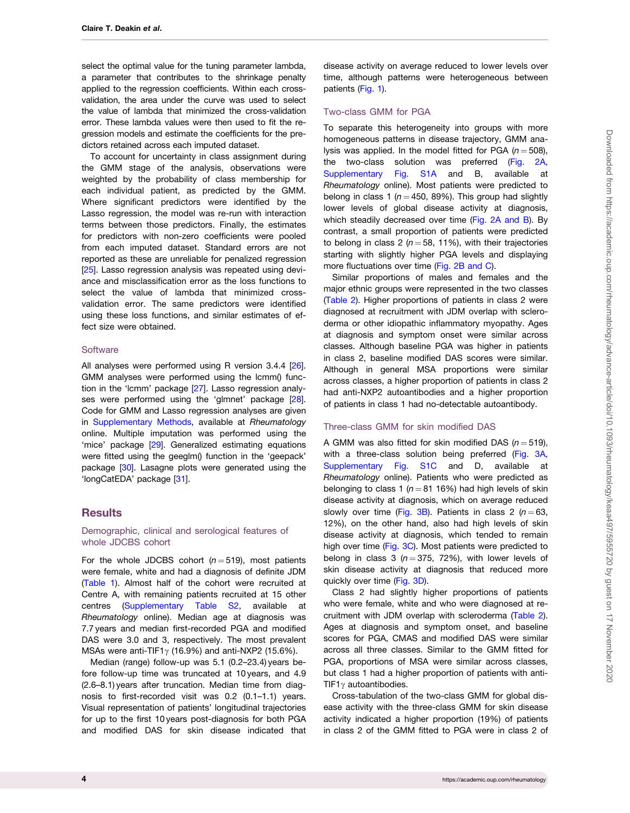<span id="page-3-0"></span>select the optimal value for the tuning parameter lambda. a parameter that contributes to the shrinkage penalty applied to the regression coefficients. Within each crossvalidation, the area under the curve was used to select the value of lambda that minimized the cross-validation error. These lambda values were then used to fit the regression models and estimate the coefficients for the predictors retained across each imputed dataset.

To account for uncertainty in class assignment during the GMM stage of the analysis, observations were weighted by the probability of class membership for each individual patient, as predicted by the GMM. Where significant predictors were identified by the Lasso regression, the model was re-run with interaction terms between those predictors. Finally, the estimates for predictors with non-zero coefficients were pooled from each imputed dataset. Standard errors are not reported as these are unreliable for penalized regression [[25\]](#page-10-0). Lasso regression analysis was repeated using deviance and misclassification error as the loss functions to select the value of lambda that minimized crossvalidation error. The same predictors were identified using these loss functions, and similar estimates of effect size were obtained.

#### **Software**

All analyses were performed using R version 3.4.4 [[26](#page-10-0)]. GMM analyses were performed using the lcmm() func-tion in the 'lcmm' package [[27\]](#page-10-0). Lasso regression analyses were performed using the 'glmnet' package [[28](#page-10-0)]. Code for GMM and Lasso regression analyses are given in [Supplementary Methods](https://academic.oup.com/rheumatology/article-lookup/doi/10.1093/rheumatology/keaa497#supplementary-data), available at Rheumatology online. Multiple imputation was performed using the 'mice' package [\[29\]](#page-10-0). Generalized estimating equations were fitted using the geeglm() function in the 'geepack' package [\[30\]](#page-10-0). Lasagne plots were generated using the 'longCatEDA' package [\[31\]](#page-10-0).

## **Results**

## Demographic, clinical and serological features of whole JDCBS cohort

For the whole JDCBS cohort ( $n = 519$ ), most patients were female, white and had a diagnosis of definite JDM ([Table 1\)](#page-4-0). Almost half of the cohort were recruited at Centre A, with remaining patients recruited at 15 other centres [\(Supplementary Table S2](https://academic.oup.com/rheumatology/article-lookup/doi/10.1093/rheumatology/keaa497#supplementary-data), available at Rheumatology online). Median age at diagnosis was 7.7 years and median first-recorded PGA and modified DAS were 3.0 and 3, respectively. The most prevalent MSAs were anti-TIF1 $\gamma$  (16.9%) and anti-NXP2 (15.6%).

Median (range) follow-up was 5.1 (0.2–23.4) years before follow-up time was truncated at 10 years, and 4.9 (2.6–8.1) years after truncation. Median time from diagnosis to first-recorded visit was 0.2 (0.1–1.1) years. Visual representation of patients' longitudinal trajectories for up to the first 10 years post-diagnosis for both PGA and modified DAS for skin disease indicated that

disease activity on average reduced to lower levels over time, although patterns were heterogeneous between patients [\(Fig. 1\)](#page-5-0).

## Two-class GMM for PGA

To separate this heterogeneity into groups with more homogeneous patterns in disease trajectory, GMM analysis was applied. In the model fitted for PGA ( $n = 508$ ), the two-class solution was preferred [\(Fig. 2A,](#page-6-0) [Supplementary Fig. S1A](https://academic.oup.com/rheumatology/article-lookup/doi/10.1093/rheumatology/keaa497#supplementary-data) and B, available at Rheumatology online). Most patients were predicted to belong in class 1 ( $n = 450$ , 89%). This group had slightly lower levels of global disease activity at diagnosis, which steadily decreased over time [\(Fig. 2A and B\)](#page-6-0). By contrast, a small proportion of patients were predicted to belong in class 2 ( $n = 58$ , 11%), with their trajectories starting with slightly higher PGA levels and displaying more fluctuations over time ([Fig. 2B and C](#page-6-0)).

Similar proportions of males and females and the major ethnic groups were represented in the two classes ([Table 2\)](#page-7-0). Higher proportions of patients in class 2 were diagnosed at recruitment with JDM overlap with scleroderma or other idiopathic inflammatory myopathy. Ages at diagnosis and symptom onset were similar across classes. Although baseline PGA was higher in patients in class 2, baseline modified DAS scores were similar. Although in general MSA proportions were similar across classes, a higher proportion of patients in class 2 had anti-NXP2 autoantibodies and a higher proportion of patients in class 1 had no-detectable autoantibody.

### Three-class GMM for skin modified DAS

A GMM was also fitted for skin modified DAS ( $n = 519$ ), with a three-class solution being preferred [\(Fig. 3A,](#page-8-0) [Supplementary Fig. S1C](https://academic.oup.com/rheumatology/article-lookup/doi/10.1093/rheumatology/keaa497#supplementary-data) and D, available at Rheumatology online). Patients who were predicted as belonging to class 1 ( $n = 81$  16%) had high levels of skin disease activity at diagnosis, which on average reduced slowly over time ([Fig. 3B\)](#page-8-0). Patients in class 2 ( $n = 63$ , 12%), on the other hand, also had high levels of skin disease activity at diagnosis, which tended to remain high over time [\(Fig. 3C](#page-8-0)). Most patients were predicted to belong in class 3 ( $n = 375$ , 72%), with lower levels of skin disease activity at diagnosis that reduced more quickly over time [\(Fig. 3D\)](#page-8-0).

Class 2 had slightly higher proportions of patients who were female, white and who were diagnosed at recruitment with JDM overlap with scleroderma [\(Table 2](#page-7-0)). Ages at diagnosis and symptom onset, and baseline scores for PGA, CMAS and modified DAS were similar across all three classes. Similar to the GMM fitted for PGA, proportions of MSA were similar across classes, but class 1 had a higher proportion of patients with anti-TIF1 $\gamma$  autoantibodies.

Cross-tabulation of the two-class GMM for global disease activity with the three-class GMM for skin disease activity indicated a higher proportion (19%) of patients in class 2 of the GMM fitted to PGA were in class 2 of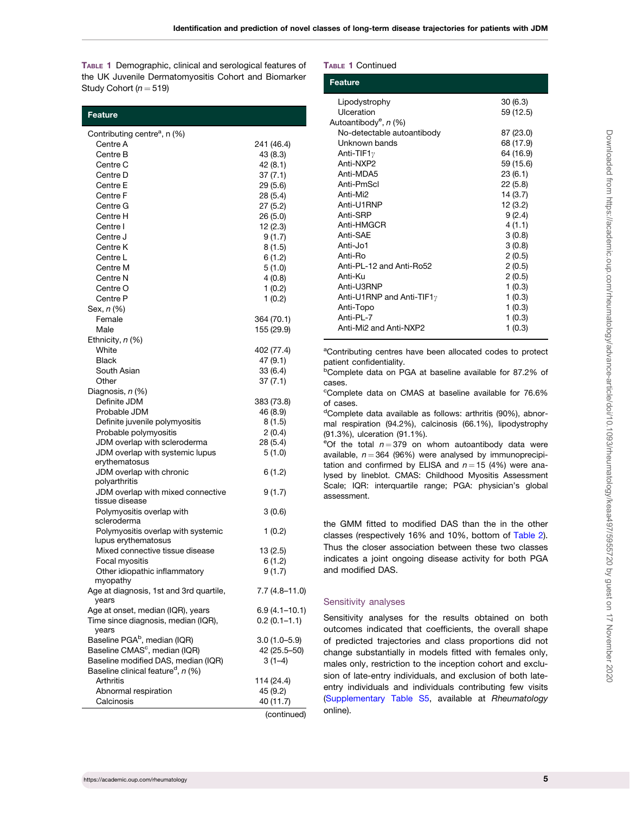<span id="page-4-0"></span>TABLE 1 Demographic, clinical and serological features of the UK Juvenile Dermatomyositis Cohort and Biomarker Study Cohort ( $n = 519$ )

| Feature                                                                               |                   |  |  |
|---------------------------------------------------------------------------------------|-------------------|--|--|
| Contributing centre <sup>a</sup> , n (%)                                              |                   |  |  |
| Centre A                                                                              | 241 (46.4)        |  |  |
| Centre B                                                                              | 43 (8.3)          |  |  |
| Centre C                                                                              | 42(8.1)           |  |  |
| Centre D                                                                              | 37(7.1)           |  |  |
| Centre E                                                                              | 29 (5.6)          |  |  |
| Centre F                                                                              | 28 (5.4)          |  |  |
| Centre G                                                                              | 27(5.2)           |  |  |
| Centre H                                                                              | 26 (5.0)          |  |  |
| Centre I                                                                              | 12(2.3)           |  |  |
| Centre J                                                                              | 9(1.7)            |  |  |
| Centre K                                                                              | 8(1.5)            |  |  |
| Centre L                                                                              | 6(1.2)            |  |  |
| Centre M                                                                              | 5(1.0)            |  |  |
| Centre N                                                                              | 4(0.8)            |  |  |
| Centre O                                                                              | 1(0.2)            |  |  |
| Centre P                                                                              | 1(0.2)            |  |  |
| Sex, n (%)                                                                            |                   |  |  |
| Female                                                                                | 364 (70.1)        |  |  |
| Male                                                                                  | 155 (29.9)        |  |  |
| Ethnicity, n (%)                                                                      |                   |  |  |
| White                                                                                 | 402 (77.4)        |  |  |
| Black                                                                                 | 47 (9.1)          |  |  |
| South Asian                                                                           | 33 (6.4)          |  |  |
| Other                                                                                 | 37(7.1)           |  |  |
| Diagnosis, n (%)                                                                      |                   |  |  |
| Definite JDM                                                                          | 383 (73.8)        |  |  |
| Probable JDM                                                                          | 46 (8.9)          |  |  |
| Definite juvenile polymyositis                                                        | 8(1.5)            |  |  |
| Probable polymyositis                                                                 | 2(0.4)            |  |  |
| JDM overlap with scleroderma                                                          | 28 (5.4)          |  |  |
| JDM overlap with systemic lupus                                                       | 5(1.0)            |  |  |
| erythematosus                                                                         |                   |  |  |
| JDM overlap with chronic                                                              | 6 (1.2)           |  |  |
| polyarthritis                                                                         |                   |  |  |
| JDM overlap with mixed connective                                                     | 9(1.7)            |  |  |
| tissue disease                                                                        |                   |  |  |
| Polymyositis overlap with                                                             | 3(0.6)            |  |  |
| scleroderma                                                                           |                   |  |  |
| Polymyositis overlap with systemic                                                    | 1(0.2)            |  |  |
| lupus erythematosus                                                                   |                   |  |  |
| Mixed connective tissue disease                                                       | 13 (2.5)          |  |  |
| Focal myositis                                                                        | 6(1.2)            |  |  |
| Other idiopathic inflammatory                                                         | 9(1.7)            |  |  |
| myopathy                                                                              |                   |  |  |
| Age at diagnosis, 1st and 3rd quartile,                                               | 7.7 (4.8–11.0)    |  |  |
| years                                                                                 |                   |  |  |
| Age at onset, median (IQR), years                                                     | $6.9(4.1 - 10.1)$ |  |  |
| Time since diagnosis, median (IQR),                                                   | $0.2(0.1-1.1)$    |  |  |
| years<br>Baseline PGA <sup>b</sup> , median (IQR)                                     |                   |  |  |
|                                                                                       | $3.0(1.0-5.9)$    |  |  |
| Baseline CMAS <sup>c</sup> , median (IQR)                                             | 42 (25.5-50)      |  |  |
| Baseline modified DAS, median (IQR)<br>Baseline clinical feature <sup>d</sup> , n (%) | $3(1-4)$          |  |  |
| Arthritis                                                                             |                   |  |  |
|                                                                                       | 114 (24.4)        |  |  |
| Abnormal respiration                                                                  | 45 (9.2)          |  |  |
| Calcinosis                                                                            | 40 (11.7)         |  |  |
|                                                                                       | (continued)       |  |  |

### TABLE 1 Continued

| Feature                                  |           |
|------------------------------------------|-----------|
| Lipodystrophy                            | 30 (6.3)  |
| Ulceration                               | 59 (12.5) |
| Autoantibody <sup>e</sup> , <i>n</i> (%) |           |
| No-detectable autoantibody               | 87 (23.0) |
| Unknown bands                            | 68 (17.9) |
| Anti-TIF1 $\gamma$                       | 64 (16.9) |
| Anti-NXP2                                | 59 (15.6) |
| Anti-MDA5                                | 23(6.1)   |
| Anti-PmScl                               | 22(5.8)   |
| Anti-Mi2                                 | 14(3.7)   |
| Anti-U1RNP                               | 12(3.2)   |
| Anti-SRP                                 | 9(2.4)    |
| Anti-HMGCR                               | 4(1.1)    |
| Anti-SAF                                 | 3(0.8)    |
| Anti-Jo1                                 | 3(0.8)    |
| Anti-Ro                                  | 2(0.5)    |
| Anti-PI-12 and Anti-Ro52                 | 2(0.5)    |
| Anti-Ku                                  | 2(0.5)    |
| Anti-U3RNP                               | 1(0.3)    |
| Anti-U1RNP and Anti-TIF1 $\gamma$        | 1(0.3)    |
| Anti-Topo                                | 1(0.3)    |
| Anti-PL-7                                | 1(0.3)    |
| Anti-Mi2 and Anti-NXP2                   | 1(0.3)    |

<sup>a</sup>Contributing centres have been allocated codes to protect patient confidentiality.

<sup>b</sup>Complete data on PGA at baseline available for 87.2% of cases.

<sup>c</sup>Complete data on CMAS at baseline available for 76.6% of cases.

<sup>d</sup>Complete data available as follows: arthritis (90%), abnormal respiration (94.2%), calcinosis (66.1%), lipodystrophy (91.3%), ulceration (91.1%).

<sup>e</sup>Of the total  $n = 379$  on whom autoantibody data were available,  $n = 364$  (96%) were analysed by immunoprecipitation and confirmed by ELISA and  $n = 15$  (4%) were analysed by lineblot. CMAS: Childhood Myositis Assessment Scale; IQR: interquartile range; PGA: physician's global assessment.

the GMM fitted to modified DAS than the in the other classes (respectively 16% and 10%, bottom of [Table 2](#page-7-0)). Thus the closer association between these two classes indicates a joint ongoing disease activity for both PGA and modified DAS.

## Sensitivity analyses

Sensitivity analyses for the results obtained on both outcomes indicated that coefficients, the overall shape of predicted trajectories and class proportions did not change substantially in models fitted with females only, males only, restriction to the inception cohort and exclusion of late-entry individuals, and exclusion of both lateentry individuals and individuals contributing few visits ([Supplementary Table S5](https://academic.oup.com/rheumatology/article-lookup/doi/10.1093/rheumatology/keaa497#supplementary-data), available at Rheumatology online).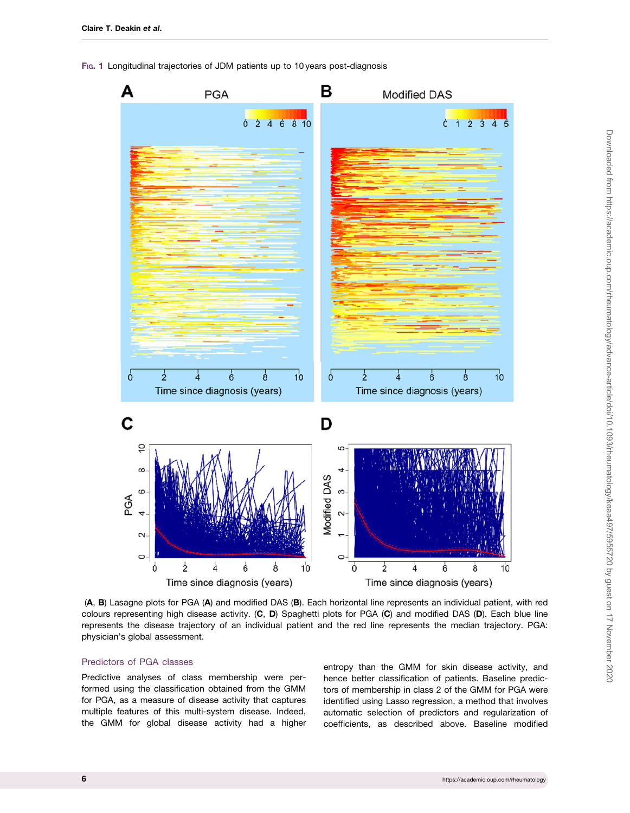<span id="page-5-0"></span>FIG. 1 Longitudinal trajectories of JDM patients up to 10 years post-diagnosis



(A, B) Lasagne plots for PGA (A) and modified DAS (B). Each horizontal line represents an individual patient, with red colours representing high disease activity. (C, D) Spaghetti plots for PGA (C) and modified DAS (D). Each blue line represents the disease trajectory of an individual patient and the red line represents the median trajectory. PGA: physician's global assessment.

## Predictors of PGA classes

Predictive analyses of class membership were performed using the classification obtained from the GMM for PGA, as a measure of disease activity that captures multiple features of this multi-system disease. Indeed, the GMM for global disease activity had a higher entropy than the GMM for skin disease activity, and hence better classification of patients. Baseline predictors of membership in class 2 of the GMM for PGA were identified using Lasso regression, a method that involves automatic selection of predictors and regularization of coefficients, as described above. Baseline modified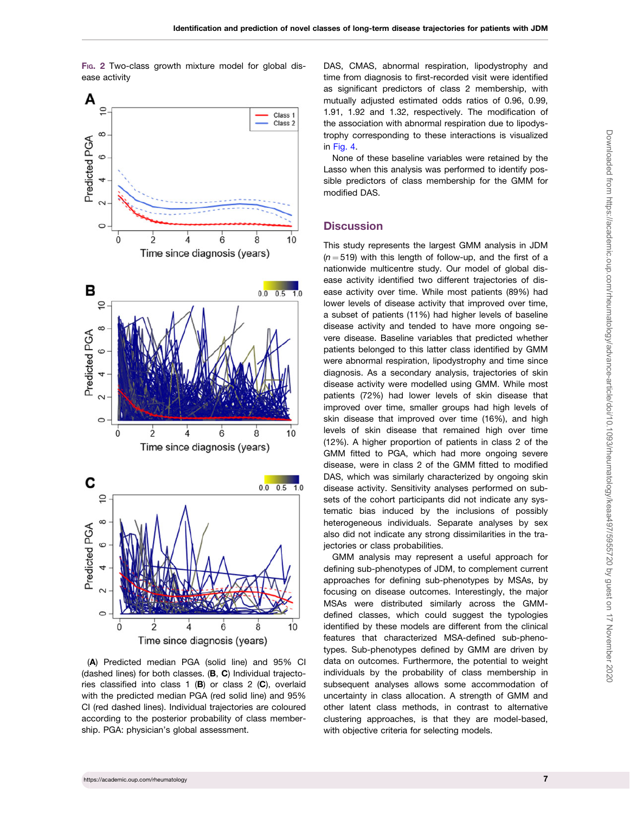<span id="page-6-0"></span>Fig. 2 Two-class growth mixture model for global disease activity



(A) Predicted median PGA (solid line) and 95% CI (dashed lines) for both classes. (B, C) Individual trajectories classified into class 1  $(B)$  or class 2  $(C)$ , overlaid with the predicted median PGA (red solid line) and 95% CI (red dashed lines). Individual trajectories are coloured according to the posterior probability of class membership. PGA: physician's global assessment.

DAS, CMAS, abnormal respiration, lipodystrophy and time from diagnosis to first-recorded visit were identified as significant predictors of class 2 membership, with mutually adjusted estimated odds ratios of 0.96, 0.99, 1.91, 1.92 and 1.32, respectively. The modification of the association with abnormal respiration due to lipodystrophy corresponding to these interactions is visualized in [Fig. 4.](#page-8-0)

None of these baseline variables were retained by the Lasso when this analysis was performed to identify possible predictors of class membership for the GMM for modified DAS.

## **Discussion**

This study represents the largest GMM analysis in JDM  $(n = 519)$  with this length of follow-up, and the first of a nationwide multicentre study. Our model of global disease activity identified two different trajectories of disease activity over time. While most patients (89%) had lower levels of disease activity that improved over time, a subset of patients (11%) had higher levels of baseline disease activity and tended to have more ongoing severe disease. Baseline variables that predicted whether patients belonged to this latter class identified by GMM were abnormal respiration, lipodystrophy and time since diagnosis. As a secondary analysis, trajectories of skin disease activity were modelled using GMM. While most patients (72%) had lower levels of skin disease that improved over time, smaller groups had high levels of skin disease that improved over time (16%), and high levels of skin disease that remained high over time (12%). A higher proportion of patients in class 2 of the GMM fitted to PGA, which had more ongoing severe disease, were in class 2 of the GMM fitted to modified DAS, which was similarly characterized by ongoing skin disease activity. Sensitivity analyses performed on subsets of the cohort participants did not indicate any systematic bias induced by the inclusions of possibly heterogeneous individuals. Separate analyses by sex also did not indicate any strong dissimilarities in the trajectories or class probabilities.

GMM analysis may represent a useful approach for defining sub-phenotypes of JDM, to complement current approaches for defining sub-phenotypes by MSAs, by focusing on disease outcomes. Interestingly, the major MSAs were distributed similarly across the GMMdefined classes, which could suggest the typologies identified by these models are different from the clinical features that characterized MSA-defined sub-phenotypes. Sub-phenotypes defined by GMM are driven by data on outcomes. Furthermore, the potential to weight individuals by the probability of class membership in subsequent analyses allows some accommodation of uncertainty in class allocation. A strength of GMM and other latent class methods, in contrast to alternative clustering approaches, is that they are model-based, with objective criteria for selecting models.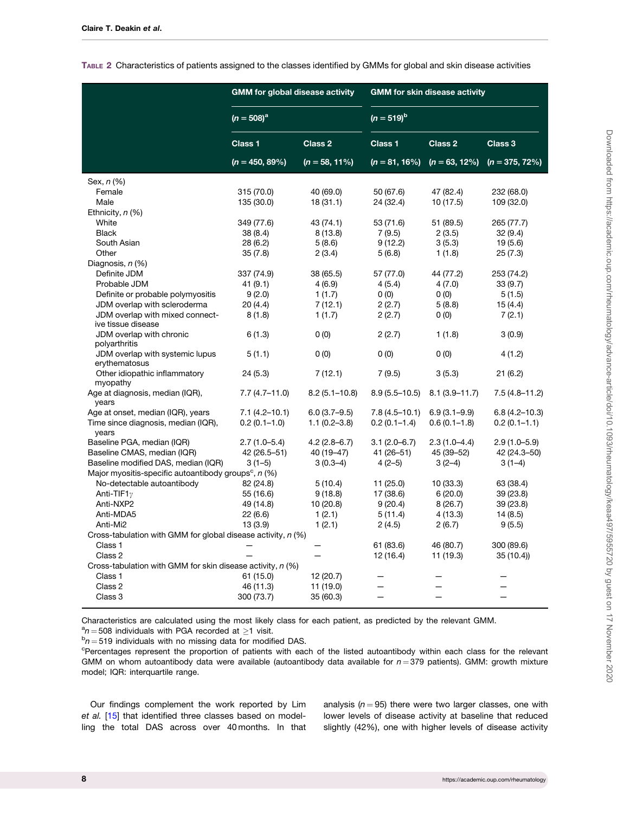|                                                                  | <b>GMM for global disease activity</b><br>(n = 508) <sup>a</sup> |                          | <b>GMM for skin disease activity</b><br>$(n = 519)^{b}$ |                   |                   |  |
|------------------------------------------------------------------|------------------------------------------------------------------|--------------------------|---------------------------------------------------------|-------------------|-------------------|--|
|                                                                  |                                                                  |                          |                                                         |                   |                   |  |
|                                                                  | Class 1                                                          | Class 2                  | Class 1                                                 | Class 2           | Class 3           |  |
|                                                                  | $(n = 450, 89\%)$                                                | $(n = 58, 11\%)$         | $(n = 81, 16\%)$                                        | $(n = 63, 12\%)$  | $(n = 375, 72\%)$ |  |
| Sex, n (%)                                                       |                                                                  |                          |                                                         |                   |                   |  |
| Female                                                           | 315 (70.0)                                                       | 40 (69.0)                | 50 (67.6)                                               | 47 (82.4)         | 232 (68.0)        |  |
| Male                                                             | 135 (30.0)                                                       | 18(31.1)                 | 24 (32.4)                                               | 10 (17.5)         | 109 (32.0)        |  |
| Ethnicity, $n$ (%)                                               |                                                                  |                          |                                                         |                   |                   |  |
| White                                                            | 349 (77.6)                                                       | 43 (74.1)                | 53 (71.6)                                               | 51 (89.5)         | 265 (77.7)        |  |
| <b>Black</b>                                                     | 38 (8.4)                                                         | 8 (13.8)                 | 7(9.5)                                                  | 2(3.5)            | 32(9.4)           |  |
| South Asian                                                      | 28(6.2)                                                          | 5(8.6)                   | 9(12.2)                                                 | 3(5.3)            | 19 (5.6)          |  |
| Other                                                            | 35(7.8)                                                          | 2(3.4)                   | 5(6.8)                                                  | 1(1.8)            | 25(7.3)           |  |
| Diagnosis, $n$ (%)                                               |                                                                  |                          |                                                         |                   |                   |  |
| Definite JDM                                                     | 337 (74.9)                                                       | 38 (65.5)                | 57 (77.0)                                               | 44 (77.2)         | 253 (74.2)        |  |
| Probable JDM                                                     | 41 (9.1)                                                         | 4(6.9)                   | 4(5.4)                                                  | 4(7.0)            | 33(9.7)           |  |
| Definite or probable polymyositis                                | 9(2.0)                                                           | 1(1.7)                   | (0)                                                     | (0)               | 5(1.5)            |  |
| JDM overlap with scleroderma                                     | 20 (4.4)                                                         | 7(12.1)                  | 2(2.7)                                                  | 5(8.8)            | 15(4.4)           |  |
| JDM overlap with mixed connect-<br>ive tissue disease            | 8(1.8)                                                           | 1(1.7)                   | 2(2.7)                                                  | 0(0)              | 7(2.1)            |  |
| JDM overlap with chronic<br>polyarthritis                        | 6(1.3)                                                           | 0(0)                     | 2(2.7)                                                  | 1(1.8)            | 3(0.9)            |  |
| JDM overlap with systemic lupus<br>erythematosus                 | 5(1.1)                                                           | 0(0)                     | 0(0)                                                    | 0(0)              | 4(1.2)            |  |
| Other idiopathic inflammatory<br>myopathy                        | 24(5.3)                                                          | 7 (12.1)                 | 7(9.5)                                                  | 3(5.3)            | 21(6.2)           |  |
| Age at diagnosis, median (IQR),<br>years                         | $7.7(4.7-11.0)$                                                  | $8.2(5.1 - 10.8)$        | $8.9(5.5 - 10.5)$                                       | $8.1(3.9 - 11.7)$ | $7.5(4.8 - 11.2)$ |  |
| Age at onset, median (IQR), years                                | $7.1(4.2 - 10.1)$                                                | $6.0(3.7-9.5)$           | $7.8(4.5 - 10.1)$                                       | $6.9(3.1 - 9.9)$  | $6.8(4.2 - 10.3)$ |  |
| Time since diagnosis, median (IQR),<br>years                     | $0.2(0.1 - 1.0)$                                                 | $1.1(0.2 - 3.8)$         | $0.2(0.1 - 1.4)$                                        | $0.6(0.1 - 1.8)$  | $0.2(0.1-1.1)$    |  |
| Baseline PGA, median (IQR)                                       | 2.7 (1.0–5.4)                                                    | $4.2(2.8 - 6.7)$         | $3.1(2.0 - 6.7)$                                        | $2.3(1.0-4.4)$    | $2.9(1.0-5.9)$    |  |
| Baseline CMAS, median (IQR)                                      | 42 (26.5-51)                                                     | 40 (19 - 47)             | 41 (26–51)                                              | 45 (39 - 52)      | 42 (24.3-50)      |  |
| Baseline modified DAS, median (IQR)                              | $3(1-5)$                                                         | $3(0.3-4)$               | $4(2-5)$                                                | $3(2-4)$          | $3(1-4)$          |  |
| Major myositis-specific autoantibody groups <sup>c</sup> , n (%) |                                                                  |                          |                                                         |                   |                   |  |
| No-detectable autoantibody                                       | 82 (24.8)                                                        | 5(10.4)                  | 11 (25.0)                                               | 10(33.3)          | 63 (38.4)         |  |
| Anti-TIF1 $\gamma$                                               | 55 (16.6)                                                        | 9(18.8)                  | 17 (38.6)                                               | 6(20.0)           | 39 (23.8)         |  |
| Anti-NXP2                                                        | 49 (14.8)                                                        | 10 (20.8)                | 9(20.4)                                                 | 8(26.7)           | 39 (23.8)         |  |
| Anti-MDA5                                                        | 22(6.6)                                                          | 1(2.1)                   | 5(11.4)                                                 | 4(13.3)           | 14(8.5)           |  |
| Anti-Mi2                                                         | 13(3.9)                                                          | 1(2.1)                   | 2(4.5)                                                  | 2(6.7)            | 9(5.5)            |  |
| Cross-tabulation with GMM for global disease activity, n (%)     |                                                                  |                          |                                                         |                   |                   |  |
| Class 1                                                          |                                                                  | $\overline{\phantom{0}}$ | 61 (83.6)                                               | 46 (80.7)         | 300 (89.6)        |  |
| Class 2                                                          |                                                                  | $\equiv$                 | 12 (16.4)                                               | 11 (19.3)         | 35(10.4)          |  |
| Cross-tabulation with GMM for skin disease activity, n (%)       |                                                                  |                          |                                                         |                   |                   |  |
| Class 1                                                          | 61 (15.0)                                                        | 12 (20.7)                |                                                         |                   |                   |  |
| Class 2                                                          | 46 (11.3)                                                        | 11 (19.0)                |                                                         |                   |                   |  |
| Class 3                                                          | 300 (73.7)                                                       | 35 (60.3)                |                                                         |                   |                   |  |

<span id="page-7-0"></span>TABLE 2 Characteristics of patients assigned to the classes identified by GMMs for global and skin disease activities

Characteristics are calculated using the most likely class for each patient, as predicted by the relevant GMM.

 $a_n$  = 508 individuals with PGA recorded at  $\geq$ 1 visit.

 $b_n = 519$  individuals with no missing data for modified DAS.<br>Concentages represent the proportion of patients with ex-

<sup>c</sup>Percentages represent the proportion of patients with each of the listed autoantibody within each class for the relevant GMM on whom autoantibody data were available (autoantibody data available for  $n = 379$  patients). GMM: growth mixture model; IQR: interquartile range.

Our findings complement the work reported by Lim et al. [\[15\]](#page-10-0) that identified three classes based on modelling the total DAS across over 40 months. In that analysis ( $n = 95$ ) there were two larger classes, one with lower levels of disease activity at baseline that reduced slightly (42%), one with higher levels of disease activity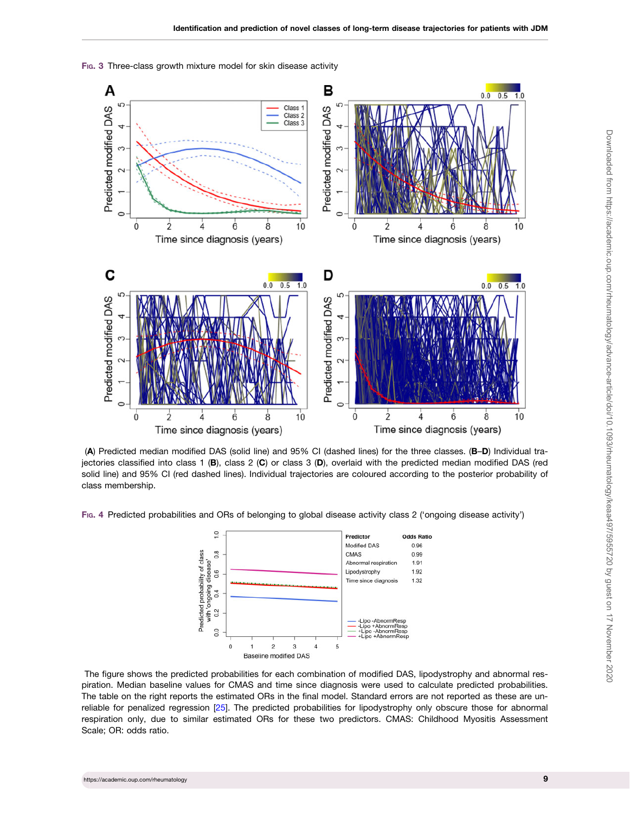

<span id="page-8-0"></span>FIG. 3 Three-class growth mixture model for skin disease activity

(A) Predicted median modified DAS (solid line) and 95% CI (dashed lines) for the three classes. (B–D) Individual trajectories classified into class 1 (B), class 2 (C) or class 3 (D), overlaid with the predicted median modified DAS (red solid line) and 95% CI (red dashed lines). Individual trajectories are coloured according to the posterior probability of class membership.

FIG. 4 Predicted probabilities and ORs of belonging to global disease activity class 2 ('ongoing disease activity')



The figure shows the predicted probabilities for each combination of modified DAS, lipodystrophy and abnormal respiration. Median baseline values for CMAS and time since diagnosis were used to calculate predicted probabilities. The table on the right reports the estimated ORs in the final model. Standard errors are not reported as these are unreliable for penalized regression [[25](#page-10-0)]. The predicted probabilities for lipodystrophy only obscure those for abnormal respiration only, due to similar estimated ORs for these two predictors. CMAS: Childhood Myositis Assessment Scale; OR: odds ratio.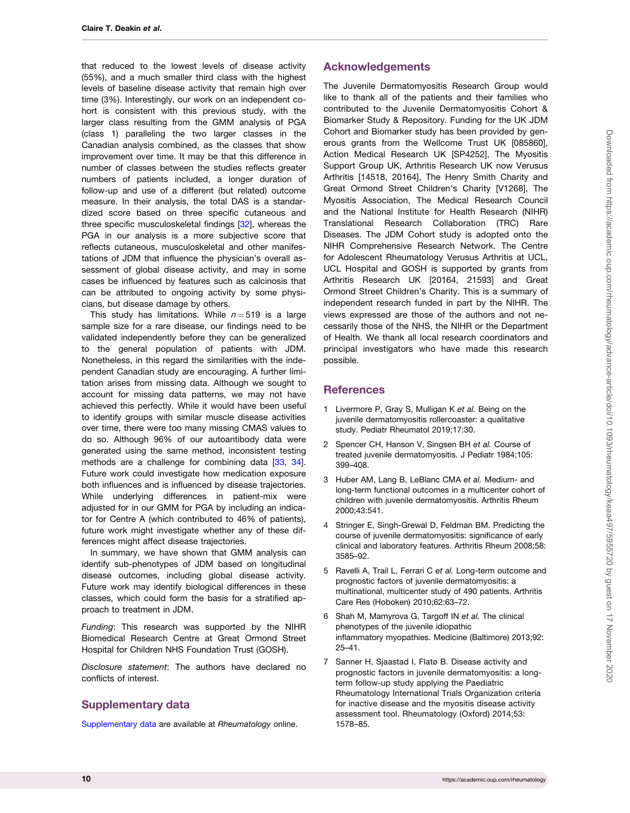<span id="page-9-0"></span>that reduced to the lowest levels of disease activity (55%), and a much smaller third class with the highest levels of baseline disease activity that remain high over time (3%). Interestingly, our work on an independent cohort is consistent with this previous study, with the larger class resulting from the GMM analysis of PGA (class 1) paralleling the two larger classes in the Canadian analysis combined, as the classes that show improvement over time. It may be that this difference in number of classes between the studies reflects greater numbers of patients included, a longer duration of follow-up and use of a different (but related) outcome measure. In their analysis, the total DAS is a standardized score based on three specific cutaneous and three specific musculoskeletal findings [\[32\]](#page-10-0), whereas the PGA in our analysis is a more subjective score that reflects cutaneous, musculoskeletal and other manifestations of JDM that influence the physician's overall assessment of global disease activity, and may in some cases be influenced by features such as calcinosis that can be attributed to ongoing activity by some physicians, but disease damage by others.

This study has limitations. While  $n = 519$  is a large sample size for a rare disease, our findings need to be validated independently before they can be generalized to the general population of patients with JDM. Nonetheless, in this regard the similarities with the independent Canadian study are encouraging. A further limitation arises from missing data. Although we sought to account for missing data patterns, we may not have achieved this perfectly. While it would have been useful to identify groups with similar muscle disease activities over time, there were too many missing CMAS values to do so. Although 96% of our autoantibody data were generated using the same method, inconsistent testing methods are a challenge for combining data [\[33,](#page-10-0) [34](#page-10-0)]. Future work could investigate how medication exposure both influences and is influenced by disease trajectories. While underlying differences in patient-mix were adjusted for in our GMM for PGA by including an indicator for Centre A (which contributed to 46% of patients), future work might investigate whether any of these differences might affect disease trajectories.

In summary, we have shown that GMM analysis can identify sub-phenotypes of JDM based on longitudinal disease outcomes, including global disease activity. Future work may identify biological differences in these classes, which could form the basis for a stratified approach to treatment in JDM.

Funding: This research was supported by the NIHR Biomedical Research Centre at Great Ormond Street Hospital for Children NHS Foundation Trust (GOSH).

Disclosure statement: The authors have declared no conflicts of interest.

# Supplementary data

[Supplementary data](https://academic.oup.com/rheumatology/article-lookup/doi/10.1093/rheumatology/keaa497#supplementary-data) are available at Rheumatology online.

## Acknowledgements

The Juvenile Dermatomyositis Research Group would like to thank all of the patients and their families who contributed to the Juvenile Dermatomyositis Cohort & Biomarker Study & Repository. Funding for the UK JDM Cohort and Biomarker study has been provided by generous grants from the Wellcome Trust UK [085860], Action Medical Research UK [SP4252], The Myositis Support Group UK, Arthritis Research UK now Verusus Arthritis [14518, 20164], The Henry Smith Charity and Great Ormond Street Children's Charity [V1268], The Myositis Association, The Medical Research Council and the National Institute for Health Research (NIHR) Translational Research Collaboration (TRC) Rare Diseases. The JDM Cohort study is adopted onto the NIHR Comprehensive Research Network. The Centre for Adolescent Rheumatology Verusus Arthritis at UCL, UCL Hospital and GOSH is supported by grants from Arthritis Research UK [20164, 21593] and Great Ormond Street Children's Charity. This is a summary of independent research funded in part by the NIHR. The views expressed are those of the authors and not necessarily those of the NHS, the NIHR or the Department of Health. We thank all local research coordinators and principal investigators who have made this research possible.

## **References**

- [1](#page-1-0) Livermore P, Gray S, Mulligan K et al. Being on the juvenile dermatomyositis rollercoaster: a qualitative study. Pediatr Rheumatol 2019;17:30.
- 2 Spencer CH, Hanson V, Singsen BH et al. Course of treated juvenile dermatomyositis. J Pediatr 1984;105: 399–408.
- 3 Huber AM, Lang B, LeBlanc CMA et al. Medium- and long-term functional outcomes in a multicenter cohort of children with juvenile dermatomyositis. Arthritis Rheum 2000;43:541.
- 4 Stringer E, Singh-Grewal D, Feldman BM. Predicting the course of juvenile dermatomyositis: significance of early clinical and laboratory features. Arthritis Rheum 2008;58: 3585–92.
- 5 Ravelli A, Trail L, Ferrari C et al. Long-term outcome and prognostic factors of juvenile dermatomyositis: a multinational, multicenter study of 490 patients. Arthritis Care Res (Hoboken) 2010;62:63–72.
- 6 Shah M, Mamyrova G, Targoff IN et al. The clinical phenotypes of the juvenile idiopathic inflammatory myopathies. Medicine (Baltimore) 2013;92: 25–41.
- 7 Sanner H, Sjaastad I, Flatø B. Disease activity and prognostic factors in juvenile dermatomyositis: a longterm follow-up study applying the Paediatric Rheumatology International Trials Organization criteria for inactive disease and the myositis disease activity assessment tool. Rheumatology (Oxford) 2014;53: 1578–85.